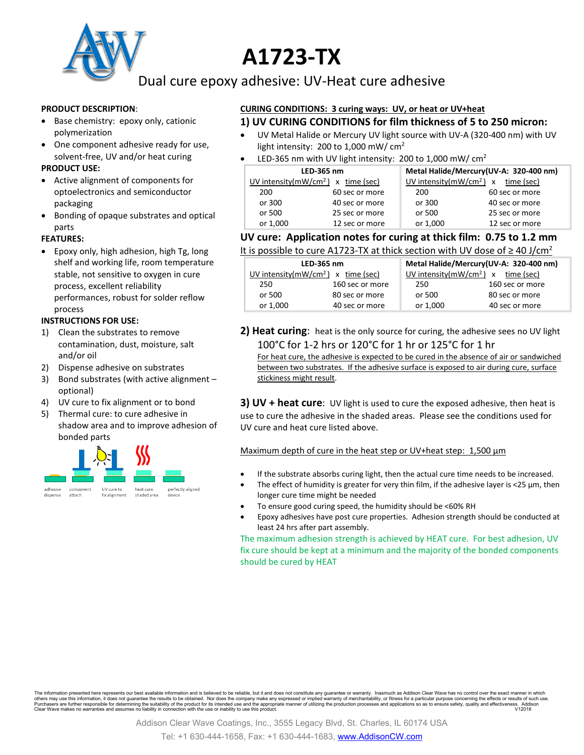

# **A1723-TX**

Dual cure epoxy adhesive: UV-Heat cure adhesive

#### **PRODUCT DESCRIPTION**:

- Base chemistry: epoxy only, cationic polymerization
- One component adhesive ready for use, solvent-free, UV and/or heat curing

#### **PRODUCT USE:**

- Active alignment of components for optoelectronics and semiconductor packaging
- Bonding of opaque substrates and optical parts

#### **FEATURES:**

• Epoxy only, high adhesion, high Tg, long shelf and working life, room temperature stable, not sensitive to oxygen in cure process, excellent reliability performances, robust for solder reflow process

#### **INSTRUCTIONS FOR USE:**

- 1) Clean the substrates to remove contamination, dust, moisture, salt and/or oil
- 2) Dispense adhesive on substrates
- 3) Bond substrates (with active alignment optional)
- 4) UV cure to fix alignment or to bond
- 5) Thermal cure: to cure adhesive in shadow area and to improve adhesion of bonded parts



#### **CURING CONDITIONS: 3 curing ways: UV, or heat or UV+heat 1) UV CURING CONDITIONS for film thickness of 5 to 250 micron:**

- UV Metal Halide or Mercury UV light source with UV-A (320-400 nm) with UV light intensity: 200 to 1,000 mW/ cm<sup>2</sup>
- LED-365 nm with UV light intensity: 200 to 1,000 mW/  $cm<sup>2</sup>$

| LED-365 nm |                                       | Metal Halide/Mercury(UV-A: 320-400 nm) |                                       |
|------------|---------------------------------------|----------------------------------------|---------------------------------------|
|            | UV intensity( $mW/cm2$ ) x time (sec) |                                        | UV intensity( $mW/cm2$ ) x time (sec) |
| 200        | 60 sec or more                        | 200                                    | 60 sec or more                        |
| or 300     | 40 sec or more                        | or 300                                 | 40 sec or more                        |
| or 500     | 25 sec or more                        | or 500                                 | 25 sec or more                        |
| or 1,000   | 12 sec or more                        | or 1,000                               | 12 sec or more                        |

## **UV cure: Application notes for curing at thick film: 0.75 to 1.2 mm**

| It is possible to cure A1723-TX at thick section with UV dose of $\geq$ 40 J/cm <sup>2</sup> |
|----------------------------------------------------------------------------------------------|
|----------------------------------------------------------------------------------------------|

| LED-365 nm                           |                 | Metal Halide/Mercury(UV-A: 320-400 nm) |                 |
|--------------------------------------|-----------------|----------------------------------------|-----------------|
| UV intensity $(mW/cm2)$ x time (sec) |                 | UV intensity $(mW/cm2)$ x time (sec)   |                 |
| 250                                  | 160 sec or more | 250                                    | 160 sec or more |
| or 500                               | 80 sec or more  | or 500                                 | 80 sec or more  |
| or 1,000                             | 40 sec or more  | or 1,000                               | 40 sec or more  |

**2) Heat curing**: heat is the only source for curing, the adhesive sees no UV light 100°C for 1-2 hrs or 120°C for 1 hr or 125°C for 1 hr

For heat cure, the adhesive is expected to be cured in the absence of air or sandwiched between two substrates. If the adhesive surface is exposed to air during cure, surface stickiness might result.

**3) UV + heat cure**: UV light is used to cure the exposed adhesive, then heat is use to cure the adhesive in the shaded areas. Please see the conditions used for UV cure and heat cure listed above.

## Maximum depth of cure in the heat step or UV+heat step: 1,500  $\mu$ m

- If the substrate absorbs curing light, then the actual cure time needs to be increased.
	- The effect of humidity is greater for very thin film, if the adhesive layer is <25 µm, then longer cure time might be needed
- To ensure good curing speed, the humidity should be <60% RH
- Epoxy adhesives have post cure properties. Adhesion strength should be conducted at least 24 hrs after part assembly.

The maximum adhesion strength is achieved by HEAT cure. For best adhesion, UV fix cure should be kept at a minimum and the majority of the bonded components should be cured by HEAT

The information presented here represents our best available information and is believed to be reliable, but it and does not constitute any guarantee or warranty. Inasmuch as Addison Clear Wave has no control over the exac